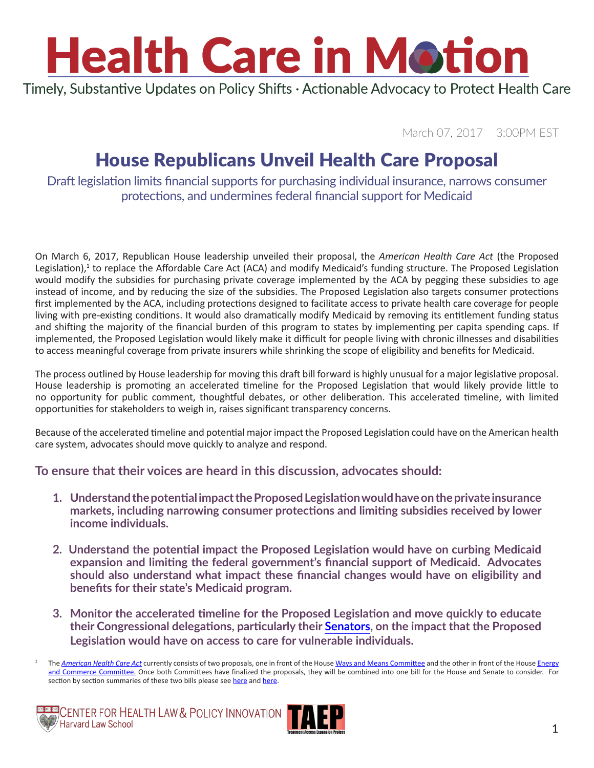Timely, Substantive Updates on Policy Shifts · Actionable Advocacy to Protect Health Care

March 07, 2017 3:00PM EST

## House Republicans Unveil Health Care Proposal

Draft legislation limits financial supports for purchasing individual insurance, narrows consumer protections, and undermines federal financial support for Medicaid

On March 6, 2017, Republican House leadership unveiled their proposal, the *American Health Care Act* (the Proposed Legislation),<sup>1</sup> to replace the Affordable Care Act (ACA) and modify Medicaid's funding structure. The Proposed Legislation would modify the subsidies for purchasing private coverage implemented by the ACA by pegging these subsidies to age instead of income, and by reducing the size of the subsidies. The Proposed Legislation also targets consumer protections first implemented by the ACA, including protections designed to facilitate access to private health care coverage for people living with pre-existing conditions. It would also dramatically modify Medicaid by removing its entitlement funding status and shifting the majority of the financial burden of this program to states by implementing per capita spending caps. If implemented, the Proposed Legislation would likely make it difficult for people living with chronic illnesses and disabilities to access meaningful coverage from private insurers while shrinking the scope of eligibility and benefits for Medicaid.

The process outlined by House leadership for moving this draft bill forward is highly unusual for a major legislative proposal. House leadership is promoting an accelerated timeline for the Proposed Legislation that would likely provide little to no opportunity for public comment, thoughtful debates, or other deliberation. This accelerated timeline, with limited opportunities for stakeholders to weigh in, raises significant transparency concerns.

Because of the accelerated timeline and potential major impact the Proposed Legislation could have on the American health care system, advocates should move quickly to analyze and respond.

### **To ensure that their voices are heard in this discussion, advocates should:**

- **1. Understand the potential impact the Proposed Legislation would have on the private insurance markets, including narrowing consumer protections and limiting subsidies received by lower income individuals.**
- **2. Understand the potential impact the Proposed Legislation would have on curbing Medicaid expansion and limiting the federal government's financial support of Medicaid. Advocates should also understand what impact these financial changes would have on eligibility and benefits for their state's Medicaid program.**
- **3. Monitor the accelerated timeline for the Proposed Legislation and move quickly to educate their Congressional delegations, particularly their [Senators](https://www.senate.gov/senators/contact/), on the impact that the Proposed Legislation would have on access to care for vulnerable individuals.**

The *[American Health Care Act](https://waysandmeans.house.gov/wp-content/uploads/2017/03/03.06.17-AmericanHealthCareAct_Summary.pdf)* currently consists of two proposals, one in front of the House [Ways and Means Committee](https://waysandmeans.house.gov/wp-content/uploads/2017/03/AmericanHealthCareAct_WM.pdf) and the other in front of the House [Energy](http://energycommerce.house.gov/sites/republicans.energycommerce.house.gov/files/documents/AmericanHealthCareAct.pdf) [and Commerce Committee.](http://energycommerce.house.gov/sites/republicans.energycommerce.house.gov/files/documents/AmericanHealthCareAct.pdf) Once both Committees have finalized the proposals, they will be combined into one bill for the House and Senate to consider. For section by section summaries of these two bills please see [here](https://waysandmeans.house.gov/wp-content/uploads/2017/03/03.06.17-Section-by-Section.pdf) and [here](http://energycommerce.house.gov/sites/republicans.energycommerce.house.gov/files/documents/Section-by-Section Summary_Final.pdf).



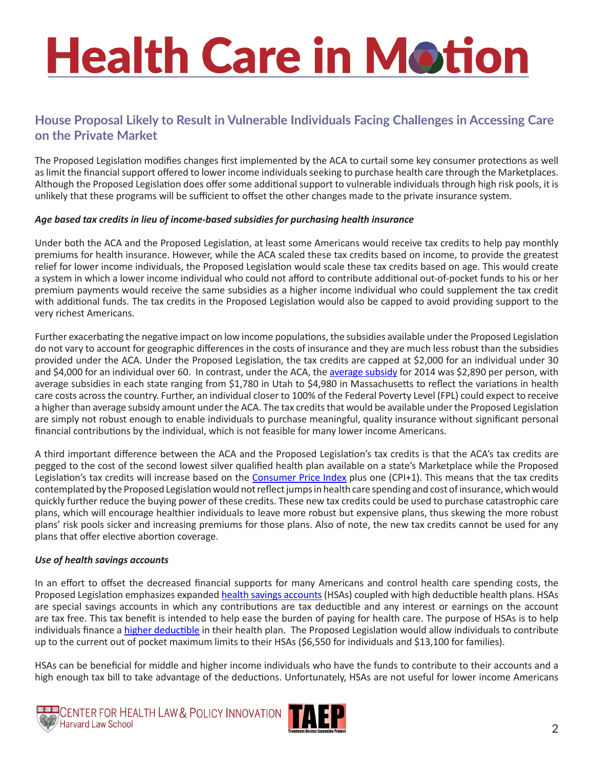## **House Proposal Likely to Result in Vulnerable Individuals Facing Challenges in Accessing Care on the Private Market**

The Proposed Legislation modifies changes first implemented by the ACA to curtail some key consumer protections as well as limit the financial support offered to lower income individuals seeking to purchase health care through the Marketplaces. Although the Proposed Legislation does offer some additional support to vulnerable individuals through high risk pools, it is unlikely that these programs will be sufficient to offset the other changes made to the private insurance system.

#### *Age based tax credits in lieu of income-based subsidies for purchasing health insurance*

Under both the ACA and the Proposed Legislation, at least some Americans would receive tax credits to help pay monthly premiums for health insurance. However, while the ACA scaled these tax credits based on income, to provide the greatest relief for lower income individuals, the Proposed Legislation would scale these tax credits based on age. This would create a system in which a lower income individual who could not afford to contribute additional out-of-pocket funds to his or her premium payments would receive the same subsidies as a higher income individual who could supplement the tax credit with additional funds. The tax credits in the Proposed Legislation would also be capped to avoid providing support to the very richest Americans.

Further exacerbating the negative impact on low income populations, the subsidies available under the Proposed Legislation do not vary to account for geographic differences in the costs of insurance and they are much less robust than the subsidies provided under the ACA. Under the Proposed Legislation, the tax credits are capped at \$2,000 for an individual under 30 and \$4,000 for an individual over 60. In contrast, under the ACA, the [average subsidy](http://kff.org/health-reform/issue-brief/how-much-financial-assistance-are-people-receiving-under-the-affordable-care-act/) for 2014 was \$2,890 per person, with average subsidies in each state ranging from \$1,780 in Utah to \$4,980 in Massachusetts to reflect the variations in health care costs across the country. Further, an individual closer to 100% of the Federal Poverty Level (FPL) could expect to receive a higher than average subsidy amount under the ACA. The tax credits that would be available under the Proposed Legislation are simply not robust enough to enable individuals to purchase meaningful, quality insurance without significant personal financial contributions by the individual, which is not feasible for many lower income Americans.

A third important difference between the ACA and the Proposed Legislation's tax credits is that the ACA's tax credits are pegged to the cost of the second lowest silver qualified health plan available on a state's Marketplace while the Proposed Legislation's tax credits will increase based on the [Consumer Price Index](https://www.bls.gov/cpi/) plus one (CPI+1). This means that the tax credits contemplated by the Proposed Legislation would not reflect jumps in health care spending and cost of insurance, which would quickly further reduce the buying power of these credits. These new tax credits could be used to purchase catastrophic care plans, which will encourage healthier individuals to leave more robust but expensive plans, thus skewing the more robust plans' risk pools sicker and increasing premiums for those plans. Also of note, the new tax credits cannot be used for any plans that offer elective abortion coverage.

### *Use of health savings accounts*

In an effort to offset the decreased financial supports for many Americans and control health care spending costs, the Proposed Legislation emphasizes expanded [health savings accounts](https://www.irs.gov/publications/p969/ar02.html) (HSAs) coupled with high deductible health plans. HSAs are special savings accounts in which any contributions are tax deductible and any interest or earnings on the account are tax free. This tax benefit is intended to help ease the burden of paying for health care. The purpose of HSAs is to help individuals finance a [higher deductible](http://www.consumerreports.org/health-insurance/high-deductible-health-plan/) in their health plan. The Proposed Legislation would allow individuals to contribute up to the current out of pocket maximum limits to their HSAs (\$6,550 for individuals and \$13,100 for families).

HSAs can be beneficial for middle and higher income individuals who have the funds to contribute to their accounts and a high enough tax bill to take advantage of the deductions. Unfortunately, HSAs are not useful for lower income Americans



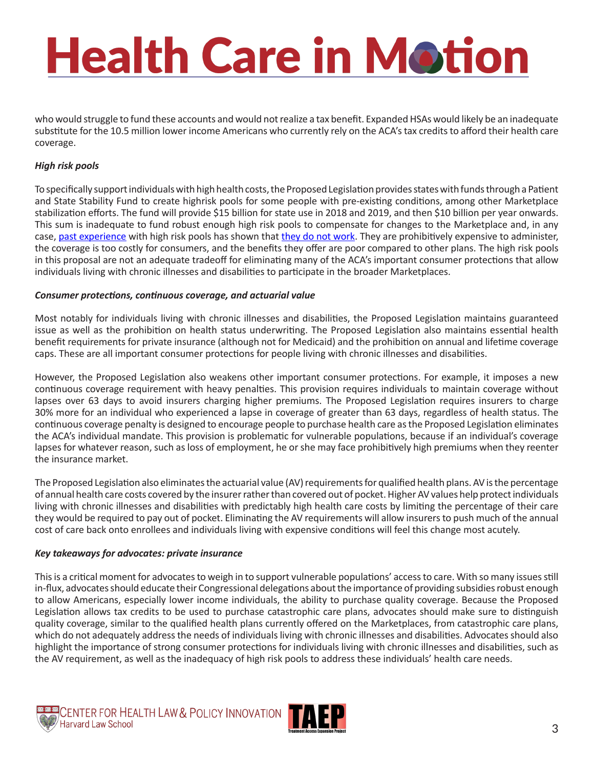who would struggle to fund these accounts and would not realize a tax benefit. Expanded HSAs would likely be an inadequate substitute for the 10.5 million lower income Americans who currently rely on the ACA's tax credits to afford their health care coverage.

### *High risk pools*

To specifically support individuals with high health costs, the Proposed Legislation provides states with funds through a Patient and State Stability Fund to create highrisk pools for some people with pre-existing conditions, among other Marketplace stabilization efforts. The fund will provide \$15 billion for state use in 2018 and 2019, and then \$10 billion per year onwards. This sum is inadequate to fund robust enough high risk pools to compensate for changes to the Marketplace and, in any case, [past experience](http://kff.org/health-reform/issue-brief/high-risk-pools-for-uninsurable-individuals/) with high risk pools has shown that [they do not work.](http://www.commonwealthfund.org/~/media/files/publications/issue-brief/2014/dec/1792_hall_highrisk_pools.pdf) They are prohibitively expensive to administer, the coverage is too costly for consumers, and the benefits they offer are poor compared to other plans. The high risk pools in this proposal are not an adequate tradeoff for eliminating many of the ACA's important consumer protections that allow individuals living with chronic illnesses and disabilities to participate in the broader Marketplaces.

#### *Consumer protections, continuous coverage, and actuarial value*

Most notably for individuals living with chronic illnesses and disabilities, the Proposed Legislation maintains guaranteed issue as well as the prohibition on health status underwriting. The Proposed Legislation also maintains essential health benefit requirements for private insurance (although not for Medicaid) and the prohibition on annual and lifetime coverage caps. These are all important consumer protections for people living with chronic illnesses and disabilities.

However, the Proposed Legislation also weakens other important consumer protections. For example, it imposes a new continuous coverage requirement with heavy penalties. This provision requires individuals to maintain coverage without lapses over 63 days to avoid insurers charging higher premiums. The Proposed Legislation requires insurers to charge 30% more for an individual who experienced a lapse in coverage of greater than 63 days, regardless of health status. The continuous coverage penalty is designed to encourage people to purchase health care as the Proposed Legislation eliminates the ACA's individual mandate. This provision is problematic for vulnerable populations, because if an individual's coverage lapses for whatever reason, such as loss of employment, he or she may face prohibitively high premiums when they reenter the insurance market.

The Proposed Legislation also eliminates the actuarial value (AV) requirements for qualified health plans. AV is the percentage of annual health care costs covered by the insurer rather than covered out of pocket. Higher AV values help protect individuals living with chronic illnesses and disabilities with predictably high health care costs by limiting the percentage of their care they would be required to pay out of pocket. Eliminating the AV requirements will allow insurers to push much of the annual cost of care back onto enrollees and individuals living with expensive conditions will feel this change most acutely.

#### *Key takeaways for advocates: private insurance*

This is a critical moment for advocates to weigh in to support vulnerable populations' access to care. With so many issues still in-flux, advocates should educate their Congressional delegations about the importance of providing subsidies robust enough to allow Americans, especially lower income individuals, the ability to purchase quality coverage. Because the Proposed Legislation allows tax credits to be used to purchase catastrophic care plans, advocates should make sure to distinguish quality coverage, similar to the qualified health plans currently offered on the Marketplaces, from catastrophic care plans, which do not adequately address the needs of individuals living with chronic illnesses and disabilities. Advocates should also highlight the importance of strong consumer protections for individuals living with chronic illnesses and disabilities, such as the AV requirement, as well as the inadequacy of high risk pools to address these individuals' health care needs.



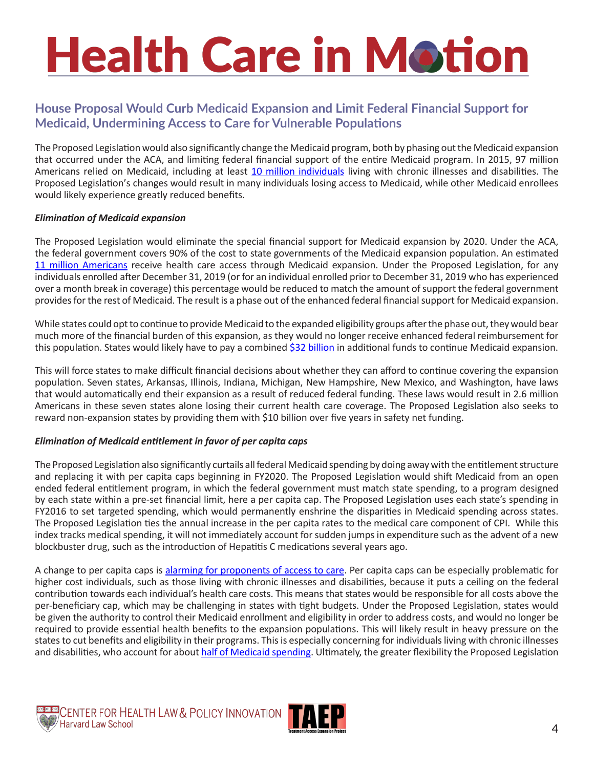## **House Proposal Would Curb Medicaid Expansion and Limit Federal Financial Support for Medicaid, Undermining Access to Care for Vulnerable Populations**

The Proposed Legislation would also significantly change the Medicaid program, both by phasing out the Medicaid expansion that occurred under the ACA, and limiting federal financial support of the entire Medicaid program. In 2015, 97 million Americans relied on Medicaid, including at least [10 million individuals](http://www.cbpp.org/research/health/policy-basics-introduction-to-medicaid) living with chronic illnesses and disabilities. The Proposed Legislation's changes would result in many individuals losing access to Medicaid, while other Medicaid enrollees would likely experience greatly reduced benefits.

### *Elimination of Medicaid expansion*

The Proposed Legislation would eliminate the special financial support for Medicaid expansion by 2020. Under the ACA, the federal government covers 90% of the cost to state governments of the Medicaid expansion population. An estimated [11 million Americans](http://www.cbpp.org/research/health/house-republican-proposals-to-radically-overhaul-medicaid-would-shift-costs-risks-to) receive health care access through Medicaid expansion. Under the Proposed Legislation, for any individuals enrolled after December 31, 2019 (or for an individual enrolled prior to December 31, 2019 who has experienced over a month break in coverage) this percentage would be reduced to match the amount of support the federal government provides for the rest of Medicaid. The result is a phase out of the enhanced federal financial support for Medicaid expansion.

While states could opt to continue to provide Medicaid to the expanded eligibility groups after the phase out, they would bear much more of the financial burden of this expansion, as they would no longer receive enhanced federal reimbursement for this population. States would likely have to pay a combined [\\$32 billion](http://www.cbpp.org/research/health/house-republican-proposals-to-radically-overhaul-medicaid-would-shift-costs-risks-to) in additional funds to continue Medicaid expansion.

This will force states to make difficult financial decisions about whether they can afford to continue covering the expansion population. Seven states, Arkansas, Illinois, Indiana, Michigan, New Hampshire, New Mexico, and Washington, have laws that would automatically end their expansion as a result of reduced federal funding. These laws would result in 2.6 million Americans in these seven states alone losing their current health care coverage. The Proposed Legislation also seeks to reward non-expansion states by providing them with \$10 billion over five years in safety net funding.

### *Elimination of Medicaid entitlement in favor of per capita caps*

The Proposed Legislation also significantly curtails all federal Medicaid spending by doing away with the entitlement structure and replacing it with per capita caps beginning in FY2020. The Proposed Legislation would shift Medicaid from an open ended federal entitlement program, in which the federal government must match state spending, to a program designed by each state within a pre-set financial limit, here a per capita cap. The Proposed Legislation uses each state's spending in FY2016 to set targeted spending, which would permanently enshrine the disparities in Medicaid spending across states. The Proposed Legislation ties the annual increase in the per capita rates to the medical care component of CPI. While this index tracks medical spending, it will not immediately account for sudden jumps in expenditure such as the advent of a new blockbuster drug, such as the introduction of Hepatitis C medications several years ago.

A change to per capita caps is [alarming for proponents of access to care.](http://www.cbpp.org/research/health/medicaid-per-capita-cap-would-shift-costs-and-risks-to-states-and-harm-millions-of) Per capita caps can be especially problematic for higher cost individuals, such as those living with chronic illnesses and disabilities, because it puts a ceiling on the federal contribution towards each individual's health care costs. This means that states would be responsible for all costs above the per-beneficiary cap, which may be challenging in states with tight budgets. Under the Proposed Legislation, states would be given the authority to control their Medicaid enrollment and eligibility in order to address costs, and would no longer be required to provide essential health benefits to the expansion populations. This will likely result in heavy pressure on the states to cut benefits and eligibility in their programs. This is especially concerning for individuals living with chronic illnesses and disabilities, who account for about [half of Medicaid spending.](http://www.cbpp.org/research/health/house-republican-proposals-to-radically-overhaul-medicaid-would-shift-costs-risks-to) Ultimately, the greater flexibility the Proposed Legislation



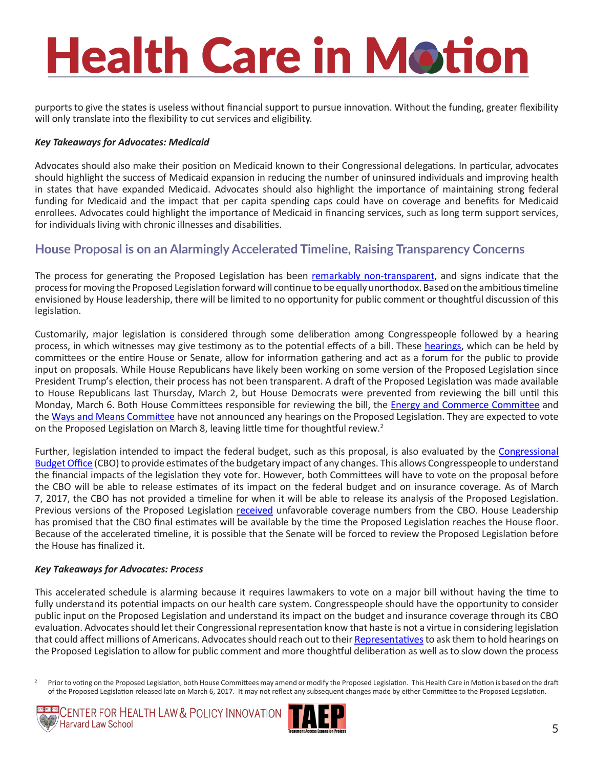purports to give the states is useless without financial support to pursue innovation. Without the funding, greater flexibility will only translate into the flexibility to cut services and eligibility.

### *Key Takeaways for Advocates: Medicaid*

Advocates should also make their position on Medicaid known to their Congressional delegations. In particular, advocates should highlight the success of Medicaid expansion in reducing the number of uninsured individuals and improving health in states that have expanded Medicaid. Advocates should also highlight the importance of maintaining strong federal funding for Medicaid and the impact that per capita spending caps could have on coverage and benefits for Medicaid enrollees. Advocates could highlight the importance of Medicaid in financing services, such as long term support services, for individuals living with chronic illnesses and disabilities.

## **House Proposal is on an Alarmingly Accelerated Timeline, Raising Transparency Concerns**

The process for generating the Proposed Legislation has been [remarkably non-transparent](http://www.vox.com/2017/3/2/14794842/obamacare-bill-search-gop), and signs indicate that the process for moving the Proposed Legislation forward will continue to be equally unorthodox. Based on the ambitious timeline envisioned by House leadership, there will be limited to no opportunity for public comment or thoughtful discussion of this legislation.

Customarily, major legislation is considered through some deliberation among Congresspeople followed by a hearing process, in which witnesses may give testimony as to the potential effects of a bill. These [hearings](https://www.congress.gov/congressional-hearings/about), which can be held by committees or the entire House or Senate, allow for information gathering and act as a forum for the public to provide input on proposals. While House Republicans have likely been working on some version of the Proposed Legislation since President Trump's election, their process has not been transparent. A draft of the Proposed Legislation was made available to House Republicans last Thursday, March 2, but House Democrats were prevented from reviewing the bill until this Monday, March 6. Both House Committees responsible for reviewing the bill, the [Energy and Commerce Committee](https://energycommerce.house.gov/) and the [Ways and Means Committee](https://waysandmeans.house.gov/) have not announced any hearings on the Proposed Legislation. They are expected to vote on the Proposed Legislation on March 8, leaving little time for thoughtful review.<sup>2</sup>

Further, legislation intended to impact the federal budget, such as this proposal, is also evaluated by the Congressional [Budget Office](https://www.cbo.gov/about/overview) (CBO) to provide estimates of the budgetary impact of any changes. This allows Congresspeople to understand the financial impacts of the legislation they vote for. However, both Committees will have to vote on the proposal before the CBO will be able to release estimates of its impact on the federal budget and on insurance coverage. As of March 7, 2017, the CBO has not provided a timeline for when it will be able to release its analysis of the Proposed Legislation. Previous versions of the Proposed Legislation [received](http://thehill.com/policy/healthcare/322609-gop-releases-bill-to-repeal-and-replace-obamacare) unfavorable coverage numbers from the CBO. House Leadership has promised that the CBO final estimates will be available by the time the Proposed Legislation reaches the House floor. Because of the accelerated timeline, it is possible that the Senate will be forced to review the Proposed Legislation before the House has finalized it.

### *Key Takeaways for Advocates: Process*

This accelerated schedule is alarming because it requires lawmakers to vote on a major bill without having the time to fully understand its potential impacts on our health care system. Congresspeople should have the opportunity to consider public input on the Proposed Legislation and understand its impact on the budget and insurance coverage through its CBO evaluation. Advocates should let their Congressional representation know that haste is not a virtue in considering legislation that could affect millions of Americans. Advocates should reach out to their [Representatives](http://www.house.gov/representatives/) to ask them to hold hearings on the Proposed Legislation to allow for public comment and more thoughtful deliberation as well as to slow down the process

<sup>2</sup> Prior to voting on the Proposed Legislation, both House Committees may amend or modify the Proposed Legislation. This Health Care in Motion is based on the draft of the Proposed Legislation released late on March 6, 2017. It may not reflect any subsequent changes made by either Committee to the Proposed Legislation.